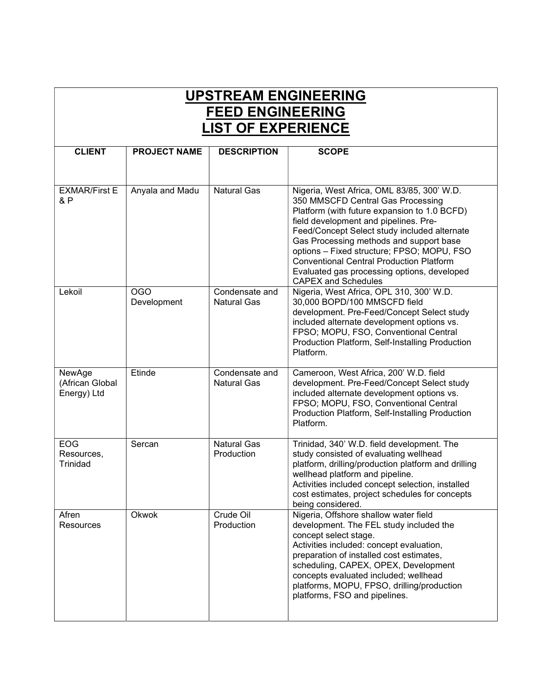## UPSTREAM ENGINEERING FEED ENGINEERING LIST OF EXPERIENCE

| <b>CLIENT</b>                            | <b>PROJECT NAME</b>       | <b>DESCRIPTION</b>                   | <b>SCOPE</b>                                                                                                                                                                                                                                                                                                                                                                                                                                      |
|------------------------------------------|---------------------------|--------------------------------------|---------------------------------------------------------------------------------------------------------------------------------------------------------------------------------------------------------------------------------------------------------------------------------------------------------------------------------------------------------------------------------------------------------------------------------------------------|
|                                          |                           |                                      |                                                                                                                                                                                                                                                                                                                                                                                                                                                   |
| <b>EXMAR/First E</b><br>& P              | Anyala and Madu           | <b>Natural Gas</b>                   | Nigeria, West Africa, OML 83/85, 300' W.D.<br>350 MMSCFD Central Gas Processing<br>Platform (with future expansion to 1.0 BCFD)<br>field development and pipelines. Pre-<br>Feed/Concept Select study included alternate<br>Gas Processing methods and support base<br>options - Fixed structure; FPSO; MOPU, FSO<br><b>Conventional Central Production Platform</b><br>Evaluated gas processing options, developed<br><b>CAPEX and Schedules</b> |
| Lekoil                                   | <b>OGO</b><br>Development | Condensate and<br><b>Natural Gas</b> | Nigeria, West Africa, OPL 310, 300' W.D.<br>30,000 BOPD/100 MMSCFD field<br>development. Pre-Feed/Concept Select study<br>included alternate development options vs.<br>FPSO; MOPU, FSO, Conventional Central<br>Production Platform, Self-Installing Production<br>Platform.                                                                                                                                                                     |
| NewAge<br>(African Global<br>Energy) Ltd | Etinde                    | Condensate and<br><b>Natural Gas</b> | Cameroon, West Africa, 200' W.D. field<br>development. Pre-Feed/Concept Select study<br>included alternate development options vs.<br>FPSO; MOPU, FSO, Conventional Central<br>Production Platform, Self-Installing Production<br>Platform.                                                                                                                                                                                                       |
| <b>EOG</b><br>Resources,<br>Trinidad     | Sercan                    | <b>Natural Gas</b><br>Production     | Trinidad, 340' W.D. field development. The<br>study consisted of evaluating wellhead<br>platform, drilling/production platform and drilling<br>wellhead platform and pipeline.<br>Activities included concept selection, installed<br>cost estimates, project schedules for concepts<br>being considered.                                                                                                                                         |
| Afren<br><b>Resources</b>                | Okwok                     | Crude Oil<br>Production              | Nigeria, Offshore shallow water field<br>development. The FEL study included the<br>concept select stage.<br>Activities included: concept evaluation,<br>preparation of installed cost estimates,<br>scheduling, CAPEX, OPEX, Development<br>concepts evaluated included; wellhead<br>platforms, MOPU, FPSO, drilling/production<br>platforms, FSO and pipelines.                                                                                 |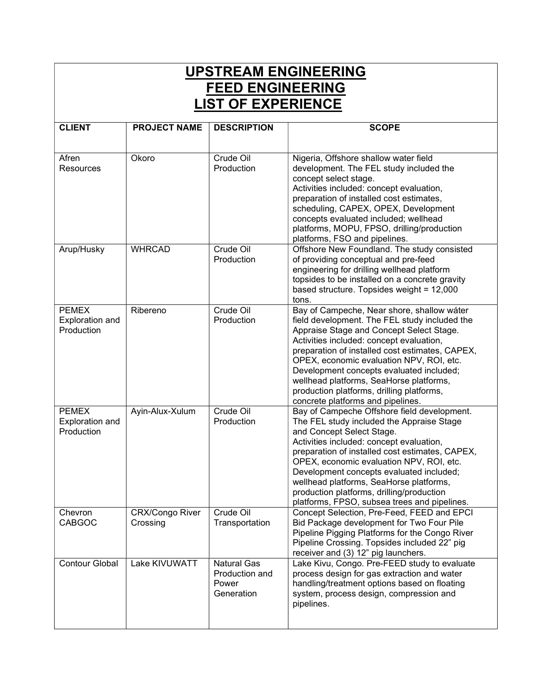| <b>UPSTREAM ENGINEERING</b><br><b>FEED ENGINEERING</b><br><b>LIST OF EXPERIENCE</b> |                                    |                                                             |                                                                                                                                                                                                                                                                                                                                                                                                                                                             |  |  |
|-------------------------------------------------------------------------------------|------------------------------------|-------------------------------------------------------------|-------------------------------------------------------------------------------------------------------------------------------------------------------------------------------------------------------------------------------------------------------------------------------------------------------------------------------------------------------------------------------------------------------------------------------------------------------------|--|--|
| <b>CLIENT</b>                                                                       | <b>PROJECT NAME</b>                | <b>DESCRIPTION</b>                                          | <b>SCOPE</b>                                                                                                                                                                                                                                                                                                                                                                                                                                                |  |  |
| Afren<br><b>Resources</b>                                                           | Okoro                              | Crude Oil<br>Production                                     | Nigeria, Offshore shallow water field<br>development. The FEL study included the<br>concept select stage.<br>Activities included: concept evaluation,<br>preparation of installed cost estimates,<br>scheduling, CAPEX, OPEX, Development<br>concepts evaluated included; wellhead<br>platforms, MOPU, FPSO, drilling/production<br>platforms, FSO and pipelines.                                                                                           |  |  |
| Arup/Husky                                                                          | <b>WHRCAD</b>                      | Crude Oil<br>Production                                     | Offshore New Foundland. The study consisted<br>of providing conceptual and pre-feed<br>engineering for drilling wellhead platform<br>topsides to be installed on a concrete gravity<br>based structure. Topsides weight = 12,000<br>tons.                                                                                                                                                                                                                   |  |  |
| <b>PEMEX</b><br>Exploration and<br>Production                                       | Ribereno                           | Crude Oil<br>Production                                     | Bay of Campeche, Near shore, shallow water<br>field development. The FEL study included the<br>Appraise Stage and Concept Select Stage.<br>Activities included: concept evaluation,<br>preparation of installed cost estimates, CAPEX,<br>OPEX, economic evaluation NPV, ROI, etc.<br>Development concepts evaluated included;<br>wellhead platforms, SeaHorse platforms,<br>production platforms, drilling platforms,<br>concrete platforms and pipelines. |  |  |
| <b>PEMEX</b><br>Exploration and<br>Production                                       | Ayin-Alux-Xulum                    | Crude Oil<br>Production                                     | Bay of Campeche Offshore field development.<br>The FEL study included the Appraise Stage<br>and Concept Select Stage.<br>Activities included: concept evaluation,<br>preparation of installed cost estimates, CAPEX,<br>OPEX, economic evaluation NPV, ROI, etc.<br>Development concepts evaluated included;<br>wellhead platforms, SeaHorse platforms,<br>production platforms, drilling/production<br>platforms, FPSO, subsea trees and pipelines.        |  |  |
| Chevron<br><b>CABGOC</b>                                                            | <b>CRX/Congo River</b><br>Crossing | Crude Oil<br>Transportation                                 | Concept Selection, Pre-Feed, FEED and EPCI<br>Bid Package development for Two Four Pile<br>Pipeline Pigging Platforms for the Congo River<br>Pipeline Crossing. Topsides included 22" pig<br>receiver and (3) 12" pig launchers.                                                                                                                                                                                                                            |  |  |
| <b>Contour Global</b>                                                               | Lake KIVUWATT                      | <b>Natural Gas</b><br>Production and<br>Power<br>Generation | Lake Kivu, Congo. Pre-FEED study to evaluate<br>process design for gas extraction and water<br>handling/treatment options based on floating<br>system, process design, compression and<br>pipelines.                                                                                                                                                                                                                                                        |  |  |